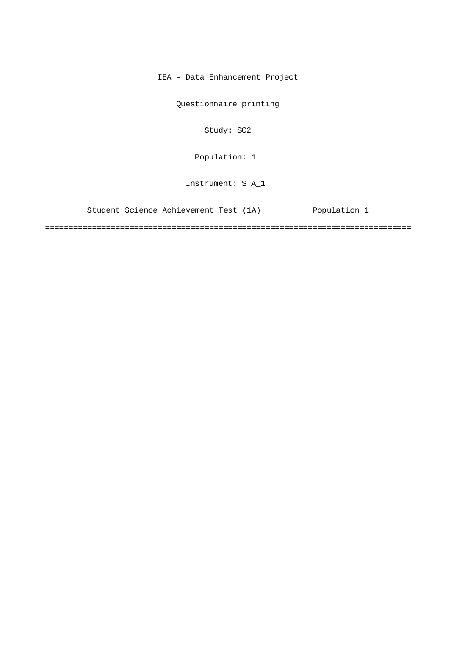IEA - Data Enhancement Project

Questionnaire printing

Study: SC2

Population: 1

Instrument: STA\_1

Student Science Achievement Test (1A) Population 1

==============================================================================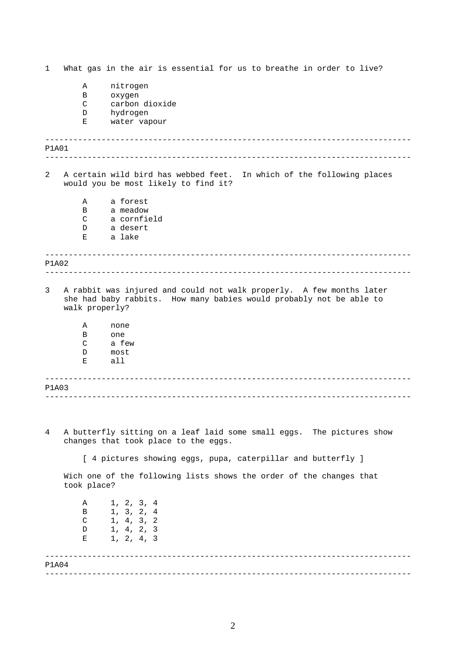1 What gas in the air is essential for us to breathe in order to live?

- A nitrogen
- B oxygen
- C carbon dioxide
- D hydrogen
- E water vapour

------------------------------------------------------------------------------ ------------------------------------------------------------------------------ ------------------------------------------------------------------------------ ------------------------------------------------------------------------------ ------------------------------------------------------------------------------ ------------------------------------------------------------------------------ P1A01 2 A certain wild bird has webbed feet. In which of the following places would you be most likely to find it? A a forest B a meadow C a cornfield D a desert E a lake P1A02 3 A rabbit was injured and could not walk properly. A few months later she had baby rabbits. How many babies would probably not be able to walk properly? A none B one C a few D most E all P1A03 4 A butterfly sitting on a leaf laid some small eggs. The pictures show changes that took place to the eggs. [ 4 pictures showing eggs, pupa, caterpillar and butterfly ] Wich one of the following lists shows the order of the changes that took place?

> A 1, 2, 3, 4 B 1, 3, 2, 4  $C = 1, 4, 3, 2$ D 1, 4, 2, 3 E 1, 2, 4, 3

------------------------------------------------------------------------------ ------------------------------------------------------------------------------ P1A04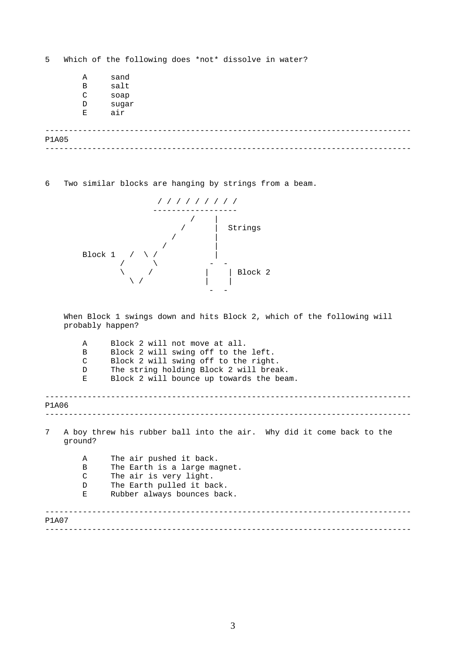------------------------------------------------------------------------------ ------------------------------------------------------------------------------ 5 Which of the following does \*not\* dissolve in water? A sand<br>B salt B salt<br>C soap soap D sugar E air P1A05

6 Two similar blocks are hanging by strings from a beam.



When Block 1 swings down and hits Block 2, which of the following will probably happen?

| Α            | Block 2 will not move at all.                                         |
|--------------|-----------------------------------------------------------------------|
| B            | Block 2 will swing off to the left.                                   |
| C            | Block 2 will swing off to the right.                                  |
| D            | The string holding Block 2 will break.                                |
| Е            | Block 2 will bounce up towards the beam.                              |
|              |                                                                       |
| P1A06        |                                                                       |
|              |                                                                       |
| 7<br>qround? | A boy threw his rubber ball into the air. Why did it come back to the |
| $\mathbf{A}$ | The air pushed it back.                                               |
| B            | The Earth is a large magnet.                                          |
| C            | The air is very light.                                                |
| D            | The Earth pulled it back.                                             |
| Ε            | Rubber always bounces back.                                           |
| P1A07        |                                                                       |